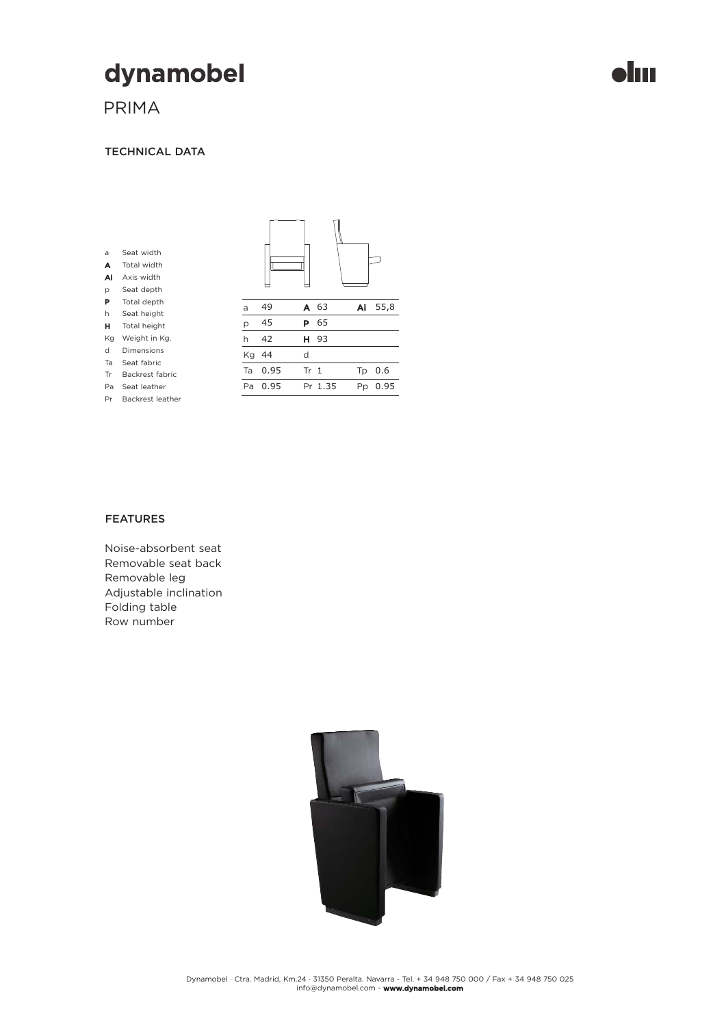# dynamobel

PRIMA

a A Ai p P h H Kg d Ta Tr Pa Pr

#### TECHNICAL DATA

| Seat width<br>Total width<br>Axis width<br>Seat depth |    |      |                 |         |    |    |
|-------------------------------------------------------|----|------|-----------------|---------|----|----|
| Total depth                                           | a  | 49   | A               | 63      | Ai | 55 |
| Seat height                                           |    |      |                 |         |    |    |
| Total height                                          | p  | 45   | Р               | 65      |    |    |
| Weight in Kg.                                         | h  | 42   | н               | 93      |    |    |
| <b>Dimensions</b>                                     | Kg | 44   | d               |         |    |    |
| Seat fabric                                           |    |      |                 |         |    |    |
| Backrest fabric                                       | Ta | 0.95 | Tr <sub>1</sub> |         | Tp | 0. |
| Seat leather                                          | Pa | 0.95 |                 | Pr 1.35 | Pp | 0. |
| Backrest leather                                      |    |      |                 |         |    |    |

### FEATURES

Noise-absorbent seat Removable seat back Removable leg Adjustable inclination Folding table Row number



55,8

0.6 0.95

### **Jm**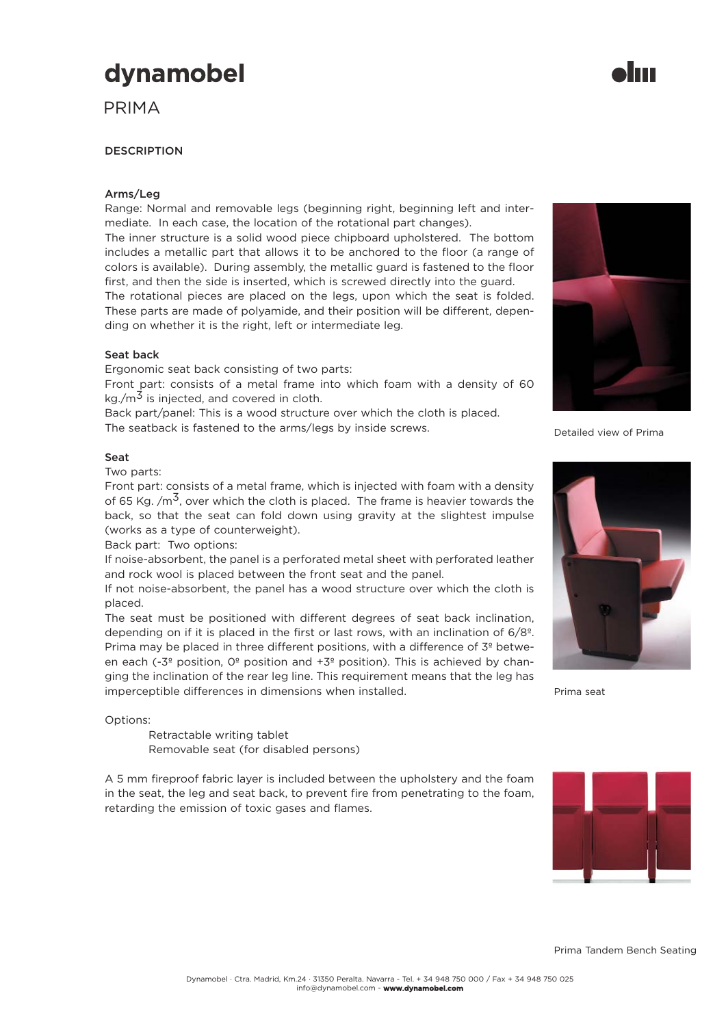## dynamobel

PRIMA

#### **DESCRIPTION**

#### Arms/Leg

Range: Normal and removable legs (beginning right, beginning left and intermediate. In each case, the location of the rotational part changes).

The inner structure is a solid wood piece chipboard upholstered. The bottom includes a metallic part that allows it to be anchored to the floor (a range of colors is available). During assembly, the metallic guard is fastened to the floor first, and then the side is inserted, which is screwed directly into the guard.

The rotational pieces are placed on the legs, upon which the seat is folded. These parts are made of polyamide, and their position will be different, depending on whether it is the right, left or intermediate leg.

#### Seat back

Ergonomic seat back consisting of two parts:

Front part: consists of a metal frame into which foam with a density of 60  $kg/m<sup>3</sup>$  is injected, and covered in cloth.

Back part/panel: This is a wood structure over which the cloth is placed.

The seatback is fastened to the arms/legs by inside screws.

#### Seat

Two parts:

Front part: consists of a metal frame, which is injected with foam with a density of 65 Kg.  $/m<sup>3</sup>$ , over which the cloth is placed. The frame is heavier towards the back, so that the seat can fold down using gravity at the slightest impulse (works as a type of counterweight).

Back part: Two options:

If noise-absorbent, the panel is a perforated metal sheet with perforated leather and rock wool is placed between the front seat and the panel.

If not noise-absorbent, the panel has a wood structure over which the cloth is placed.

The seat must be positioned with different degrees of seat back inclination, depending on if it is placed in the first or last rows, with an inclination of 6/8º. Prima may be placed in three different positions, with a difference of 3<sup>º</sup> between each (-3<sup>o</sup> position,  $O<sup>o</sup>$  position and +3<sup>o</sup> position). This is achieved by changing the inclination of the rear leg line. This requirement means that the leg has imperceptible differences in dimensions when installed.

Options:

Retractable writing tablet Removable seat (for disabled persons)

A 5 mm fireproof fabric layer is included between the upholstery and the foam in the seat, the leg and seat back, to prevent fire from penetrating to the foam, retarding the emission of toxic gases and flames.

Detailed view of Prima